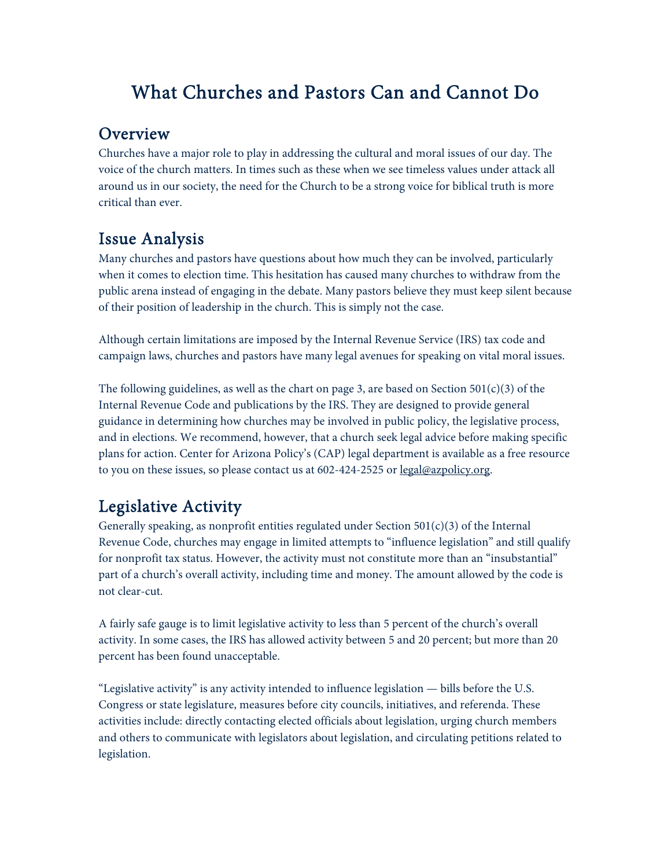# What Churches and Pastors Can and Cannot Do

#### **Overview**

Churches have a major role to play in addressing the cultural and moral issues of our day. The voice of the church matters. In times such as these when we see timeless values under attack all around us in our society, the need for the Church to be a strong voice for biblical truth is more critical than ever.

## Issue Analysis

Many churches and pastors have questions about how much they can be involved, particularly when it comes to election time. This hesitation has caused many churches to withdraw from the public arena instead of engaging in the debate. Many pastors believe they must keep silent because of their position of leadership in the church. This is simply not the case.

Although certain limitations are imposed by the Internal Revenue Service (IRS) tax code and campaign laws, churches and pastors have many legal avenues for speaking on vital moral issues.

The following guidelines, as well as the chart on page 3, are based on Section  $501(c)(3)$  of the Internal Revenue Code and publications by the IRS. They are designed to provide general guidance in determining how churches may be involved in public policy, the legislative process, and in elections. We recommend, however, that a church seek legal advice before making specific plans for action. Center for Arizona Policy's (CAP) legal department is available as a free resource to you on these issues, so please contact us at 602-424-2525 or legal@azpolicy.org.

# Legislative Activity

Generally speaking, as nonprofit entities regulated under Section  $501(c)(3)$  of the Internal Revenue Code, churches may engage in limited attempts to "influence legislation" and still qualify for nonprofit tax status. However, the activity must not constitute more than an "insubstantial" part of a church's overall activity, including time and money. The amount allowed by the code is not clear-cut.

A fairly safe gauge is to limit legislative activity to less than 5 percent of the church's overall activity. In some cases, the IRS has allowed activity between 5 and 20 percent; but more than 20 percent has been found unacceptable.

"Legislative activity" is any activity intended to influence legislation — bills before the U.S. Congress or state legislature, measures before city councils, initiatives, and referenda. These activities include: directly contacting elected officials about legislation, urging church members and others to communicate with legislators about legislation, and circulating petitions related to legislation.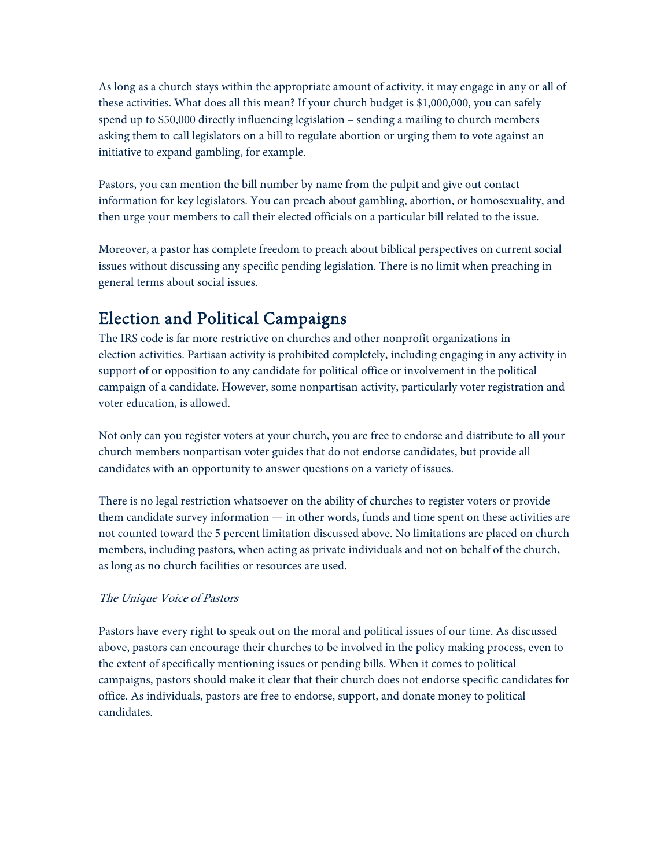As long as a church stays within the appropriate amount of activity, it may engage in any or all of these activities. What does all this mean? If your church budget is \$1,000,000, you can safely spend up to \$50,000 directly influencing legislation – sending a mailing to church members asking them to call legislators on a bill to regulate abortion or urging them to vote against an initiative to expand gambling, for example.

Pastors, you can mention the bill number by name from the pulpit and give out contact information for key legislators. You can preach about gambling, abortion, or homosexuality, and then urge your members to call their elected officials on a particular bill related to the issue.

Moreover, a pastor has complete freedom to preach about biblical perspectives on current social issues without discussing any specific pending legislation. There is no limit when preaching in general terms about social issues.

## Election and Political Campaigns

The IRS code is far more restrictive on churches and other nonprofit organizations in election activities. Partisan activity is prohibited completely, including engaging in any activity in support of or opposition to any candidate for political office or involvement in the political campaign of a candidate. However, some nonpartisan activity, particularly voter registration and voter education, is allowed.

Not only can you register voters at your church, you are free to endorse and distribute to all your church members nonpartisan voter guides that do not endorse candidates, but provide all candidates with an opportunity to answer questions on a variety of issues.

There is no legal restriction whatsoever on the ability of churches to register voters or provide them candidate survey information — in other words, funds and time spent on these activities are not counted toward the 5 percent limitation discussed above. No limitations are placed on church members, including pastors, when acting as private individuals and not on behalf of the church, as long as no church facilities or resources are used.

#### The Unique Voice of Pastors

Pastors have every right to speak out on the moral and political issues of our time. As discussed above, pastors can encourage their churches to be involved in the policy making process, even to the extent of specifically mentioning issues or pending bills. When it comes to political campaigns, pastors should make it clear that their church does not endorse specific candidates for office. As individuals, pastors are free to endorse, support, and donate money to political candidates.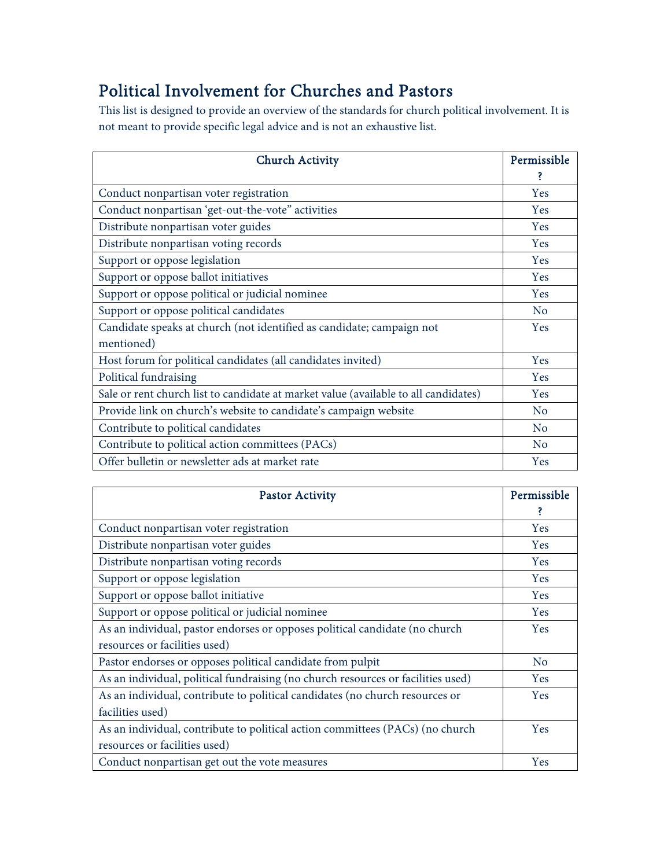# Political Involvement for Churches and Pastors

This list is designed to provide an overview of the standards for church political involvement. It is not meant to provide specific legal advice and is not an exhaustive list.

| <b>Church Activity</b>                                                              | Permissible    |
|-------------------------------------------------------------------------------------|----------------|
|                                                                                     | ś              |
| Conduct nonpartisan voter registration                                              | Yes            |
| Conduct nonpartisan 'get-out-the-vote" activities                                   | <b>Yes</b>     |
| Distribute nonpartisan voter guides                                                 | Yes            |
| Distribute nonpartisan voting records                                               | Yes            |
| Support or oppose legislation                                                       | Yes            |
| Support or oppose ballot initiatives                                                | Yes            |
| Support or oppose political or judicial nominee                                     | Yes            |
| Support or oppose political candidates                                              | N <sub>o</sub> |
| Candidate speaks at church (not identified as candidate; campaign not               | Yes            |
| mentioned)                                                                          |                |
| Host forum for political candidates (all candidates invited)                        | Yes            |
| Political fundraising                                                               | Yes            |
| Sale or rent church list to candidate at market value (available to all candidates) | Yes            |
| Provide link on church's website to candidate's campaign website                    | N <sub>o</sub> |
| Contribute to political candidates                                                  | N <sub>o</sub> |
| Contribute to political action committees (PACs)                                    | N <sub>o</sub> |
| Offer bulletin or newsletter ads at market rate                                     | Yes            |

| <b>Pastor Activity</b>                                                           | Permissible    |
|----------------------------------------------------------------------------------|----------------|
|                                                                                  |                |
| Conduct nonpartisan voter registration                                           | <b>Yes</b>     |
| Distribute nonpartisan voter guides                                              | <b>Yes</b>     |
| Distribute nonpartisan voting records                                            | Yes            |
| Support or oppose legislation                                                    | <b>Yes</b>     |
| Support or oppose ballot initiative                                              | <b>Yes</b>     |
| Support or oppose political or judicial nominee                                  | <b>Yes</b>     |
| As an individual, pastor endorses or opposes political candidate (no church      | <b>Yes</b>     |
| resources or facilities used)                                                    |                |
| Pastor endorses or opposes political candidate from pulpit                       | N <sub>o</sub> |
| As an individual, political fundraising (no church resources or facilities used) | <b>Yes</b>     |
| As an individual, contribute to political candidates (no church resources or     | <b>Yes</b>     |
| facilities used)                                                                 |                |
| As an individual, contribute to political action committees (PACs) (no church    | <b>Yes</b>     |
| resources or facilities used)                                                    |                |
| Conduct nonpartisan get out the vote measures                                    | Yes            |